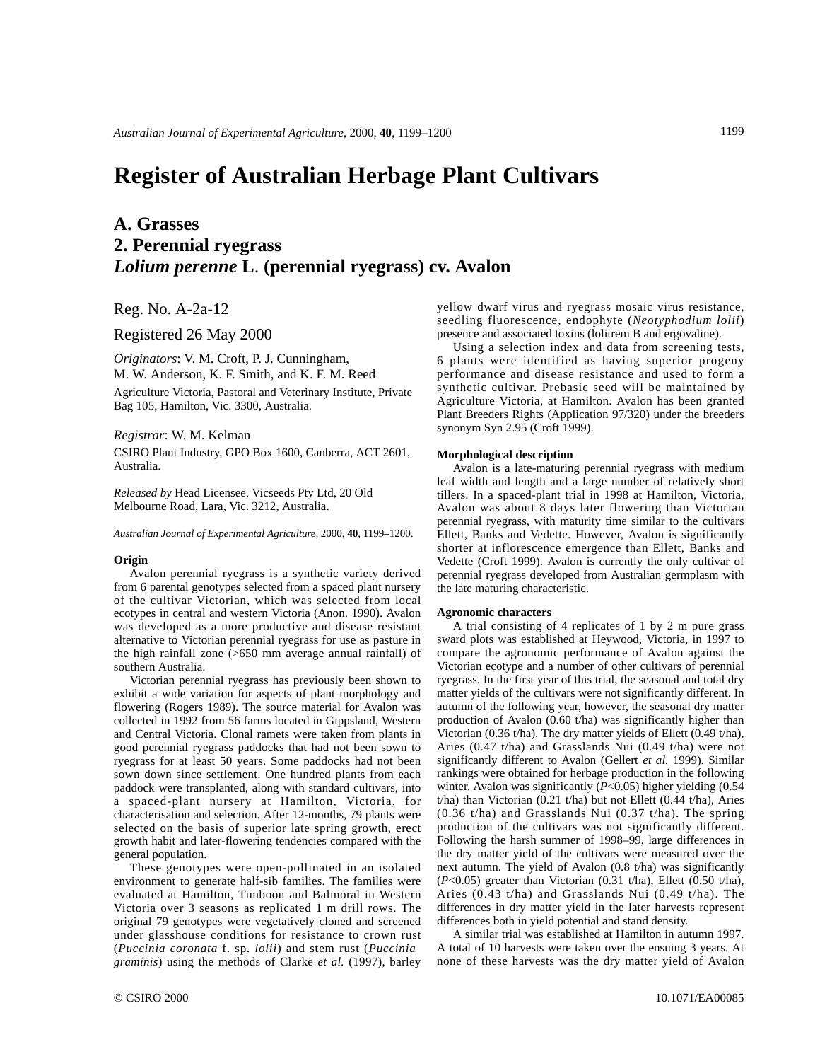# **Register of Australian Herbage Plant Cultivars**

## **A. Grasses 2. Perennial ryegrass** *Lolium perenne* **L**. **(perennial ryegrass) cv. Avalon**

Reg. No. A-2a-12

Registered 26 May 2000

*Originators*: V. M. Croft, P. J. Cunningham, M. W. Anderson, K. F. Smith, and K. F. M. Reed

Agriculture Victoria, Pastoral and Veterinary Institute, Private Bag 105, Hamilton, Vic. 3300, Australia.

*Registrar*: W. M. Kelman

CSIRO Plant Industry, GPO Box 1600, Canberra, ACT 2601, Australia.

*Released by* Head Licensee, Vicseeds Pty Ltd, 20 Old Melbourne Road, Lara, Vic. 3212, Australia.

*Australian Journal of Experimental Agriculture,* 2000, **40**, 1199–1200.

#### **Origin**

Avalon perennial ryegrass is a synthetic variety derived from 6 parental genotypes selected from a spaced plant nursery of the cultivar Victorian, which was selected from local ecotypes in central and western Victoria (Anon. 1990). Avalon was developed as a more productive and disease resistant alternative to Victorian perennial ryegrass for use as pasture in the high rainfall zone (>650 mm average annual rainfall) of southern Australia.

Victorian perennial ryegrass has previously been shown to exhibit a wide variation for aspects of plant morphology and flowering (Rogers 1989). The source material for Avalon was collected in 1992 from 56 farms located in Gippsland, Western and Central Victoria. Clonal ramets were taken from plants in good perennial ryegrass paddocks that had not been sown to ryegrass for at least 50 years. Some paddocks had not been sown down since settlement. One hundred plants from each paddock were transplanted, along with standard cultivars, into a spaced-plant nursery at Hamilton, Victoria, for characterisation and selection. After 12-months, 79 plants were selected on the basis of superior late spring growth, erect growth habit and later-flowering tendencies compared with the general population.

These genotypes were open-pollinated in an isolated environment to generate half-sib families. The families were evaluated at Hamilton, Timboon and Balmoral in Western Victoria over 3 seasons as replicated 1 m drill rows. The original 79 genotypes were vegetatively cloned and screened under glasshouse conditions for resistance to crown rust (*Puccinia coronata* f. sp. *lolii*) and stem rust (*Puccinia graminis*) using the methods of Clarke *et al.* (1997), barley

yellow dwarf virus and ryegrass mosaic virus resistance, seedling fluorescence, endophyte (*Neotyphodium lolii*) presence and associated toxins (lolitrem B and ergovaline).

Using a selection index and data from screening tests, 6 plants were identified as having superior progeny performance and disease resistance and used to form a synthetic cultivar. Prebasic seed will be maintained by Agriculture Victoria, at Hamilton. Avalon has been granted Plant Breeders Rights (Application 97/320) under the breeders synonym Syn 2.95 (Croft 1999).

#### **Morphological description**

Avalon is a late-maturing perennial ryegrass with medium leaf width and length and a large number of relatively short tillers. In a spaced-plant trial in 1998 at Hamilton, Victoria, Avalon was about 8 days later flowering than Victorian perennial ryegrass, with maturity time similar to the cultivars Ellett, Banks and Vedette. However, Avalon is significantly shorter at inflorescence emergence than Ellett, Banks and Vedette (Croft 1999). Avalon is currently the only cultivar of perennial ryegrass developed from Australian germplasm with the late maturing characteristic.

#### **Agronomic characters**

A trial consisting of 4 replicates of 1 by 2 m pure grass sward plots was established at Heywood, Victoria, in 1997 to compare the agronomic performance of Avalon against the Victorian ecotype and a number of other cultivars of perennial ryegrass. In the first year of this trial, the seasonal and total dry matter yields of the cultivars were not significantly different. In autumn of the following year, however, the seasonal dry matter production of Avalon (0.60 t/ha) was significantly higher than Victorian (0.36 t/ha). The dry matter yields of Ellett (0.49 t/ha), Aries (0.47 t/ha) and Grasslands Nui (0.49 t/ha) were not significantly different to Avalon (Gellert *et al.* 1999). Similar rankings were obtained for herbage production in the following winter. Avalon was significantly ( $P<0.05$ ) higher yielding (0.54 t/ha) than Victorian (0.21 t/ha) but not Ellett (0.44 t/ha), Aries (0.36 t/ha) and Grasslands Nui (0.37 t/ha). The spring production of the cultivars was not significantly different. Following the harsh summer of 1998–99, large differences in the dry matter yield of the cultivars were measured over the next autumn. The yield of Avalon (0.8 t/ha) was significantly  $(P<0.05)$  greater than Victorian  $(0.31 \text{ t/ha})$ , Ellett  $(0.50 \text{ t/ha})$ , Aries (0.43 t/ha) and Grasslands Nui (0.49 t/ha). The differences in dry matter yield in the later harvests represent differences both in yield potential and stand density.

A similar trial was established at Hamilton in autumn 1997. A total of 10 harvests were taken over the ensuing 3 years. At none of these harvests was the dry matter yield of Avalon